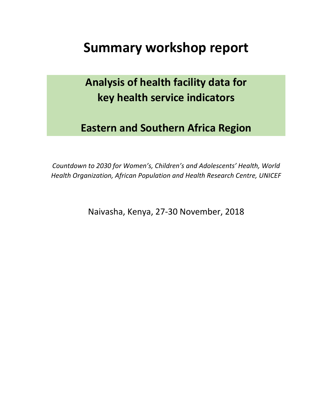# **Summary workshop report**

# **Analysis of health facility data for key health service indicators**

# **Eastern and Southern Africa Region**

*Countdown to 2030 for Women's, Children's and Adolescents' Health, World Health Organization, African Population and Health Research Centre, UNICEF*

Naivasha, Kenya, 27-30 November, 2018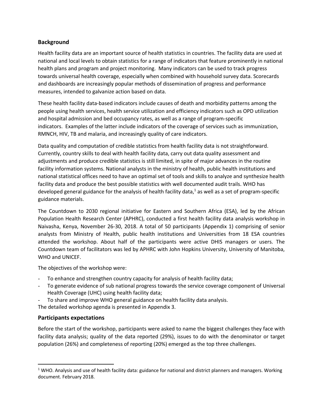#### **Background**

Health facility data are an important source of health statistics in countries. The facility data are used at national and local levels to obtain statistics for a range of indicators that feature prominently in national health plans and program and project monitoring. Many indicators can be used to track progress towards universal health coverage, especially when combined with household survey data. Scorecards and dashboards are increasingly popular methods of dissemination of progress and performance measures, intended to galvanize action based on data.

These health facility data-based indicators include causes of death and morbidity patterns among the people using health services, health service utilization and efficiency indicators such as OPD utilization and hospital admission and bed occupancy rates, as well as a range of program-specific indicators. Examples of the latter include indicators of the coverage of services such as immunization, RMNCH, HIV, TB and malaria, and increasingly quality of care indicators.

Data quality and computation of credible statistics from health facility data is not straightforward. Currently, country skills to deal with health facility data, carry out data quality assessment and adjustments and produce credible statistics is still limited, in spite of major advances in the routine facility information systems. National analysts in the ministry of health, public health institutions and national statistical offices need to have an optimal set of tools and skills to analyze and synthesize health facility data and produce the best possible statistics with well documented audit trails. WHO has developed general guidance for the analysis of health facility data, $<sup>1</sup>$  as well as a set of program-specific</sup> guidance materials.

The Countdown to 2030 regional initiative for Eastern and Southern Africa (ESA), led by the African Population Health Research Center (APHRC), conducted a first health facility data analysis workshop in Naivasha, Kenya, November 26-30, 2018. A total of 50 participants (Appendix 1) comprising of senior analysts from Ministry of Health, public health institutions and Universities from 18 ESA countries attended the workshop. About half of the participants were active DHIS managers or users. The Countdown team of facilitators was led by APHRC with John Hopkins University, University of Manitoba, WHO and UNICEF.

The objectives of the workshop were:

- To enhance and strengthen country capacity for analysis of health facility data;
- To generate evidence of sub national progress towards the service coverage component of Universal Health Coverage (UHC) using health facility data;
- To share and improve WHO general guidance on health facility data analysis.

The detailed workshop agenda is presented in Appendix 3.

#### **Participants expectations**

Before the start of the workshop, participants were asked to name the biggest challenges they face with facility data analysis; quality of the data reported (29%), issues to do with the denominator or target population (26%) and completeness of reporting (20%) emerged as the top three challenges.

 $1$  WHO. Analysis and use of health facility data: guidance for national and district planners and managers. Working document. February 2018.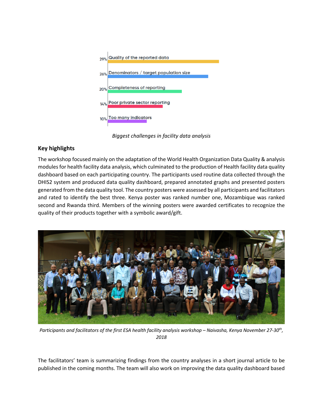

*Biggest challenges in facility data analysis*

#### **Key highlights**

The workshop focused mainly on the adaptation of the World Health Organization Data Quality & analysis modules for health facility data analysis, which culminated to the production of Health facility data quality dashboard based on each participating country. The participants used routine data collected through the DHIS2 system and produced data quality dashboard, prepared annotated graphs and presented posters generated from the data quality tool. The country posters were assessed by all participants and facilitators and rated to identify the best three. Kenya poster was ranked number one, Mozambique was ranked second and Rwanda third. Members of the winning posters were awarded certificates to recognize the quality of their products together with a symbolic award/gift.



*Participants and facilitators of the first ESA health facility analysis workshop – Naivasha, Kenya November 27-30th, 2018*

The facilitators' team is summarizing findings from the country analyses in a short journal article to be published in the coming months. The team will also work on improving the data quality dashboard based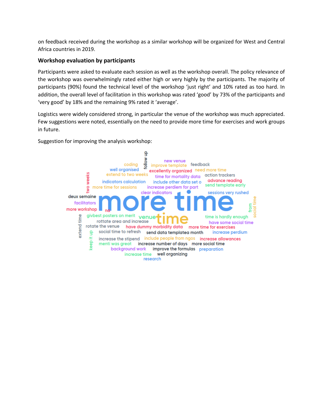on feedback received during the workshop as a similar workshop will be organized for West and Central Africa countries in 2019.

#### **Workshop evaluation by participants**

Participants were asked to evaluate each session as well as the workshop overall. The policy relevance of the workshop was overwhelmingly rated either high or very highly by the participants. The majority of participants (90%) found the technical level of the workshop 'just right' and 10% rated as too hard. In addition, the overall level of facilitation in this workshop was rated 'good' by 73% of the participants and 'very good' by 18% and the remaining 9% rated it 'average'.

Logistics were widely considered strong, in particular the venue of the workshop was much appreciated. Few suggestions were noted, essentially on the need to provide more time for exercises and work groups in future.

Suggestion for improving the analysis workshop:

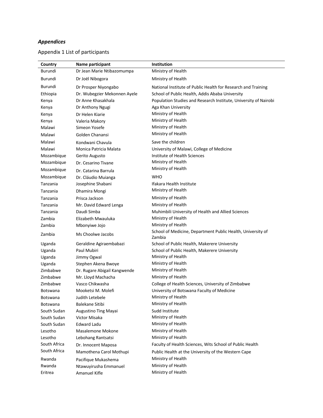## *Appendices*

## Appendix 1 List of participants

| Country         | Name participant             | Institution                                                           |
|-----------------|------------------------------|-----------------------------------------------------------------------|
| Burundi         | Dr Jean Marie Ntibazomumpa   | Ministry of Health                                                    |
| Burundi         | Dr Joël Nibogora             | Ministry of Health                                                    |
| Burundi         | Dr Prosper Niyongabo         | National Institute of Public Health for Research and Training         |
| Ethiopia        | Dr. Wubegzier Mekonnen Ayele | School of Public Health, Addis Ababa University                       |
| Kenya           | Dr Anne Khasakhala           | Population Studies and Research Institute, University of Nairobi      |
| Kenya           | Dr Anthony Ngugi             | Aga Khan University                                                   |
| Kenya           | Dr Helen Kiarie              | Ministry of Health                                                    |
| Kenya           | Valeria Makory               | Ministry of Health                                                    |
| Malawi          | Simeon Yosefe                | Ministry of Health                                                    |
| Malawi          | Golden Chanansi              | Ministry of Health                                                    |
| Malawi          | Kondwani Chavula             | Save the children                                                     |
| Malawi          | Monica Patricia Malata       | University of Malawi, College of Medicine                             |
| Mozambique      | Gerito Augusto               | Institute of Health Sciences                                          |
| Mozambique      | Dr. Cesarino Tivane          | Ministry of Health                                                    |
| Mozambique      | Dr. Catarina Barrula         | Ministry of Health                                                    |
| Mozambique      | Dr. Cláudio Muianga          | <b>WHO</b>                                                            |
| Tanzania        | Josephine Shabani            | Ifakara Health Institute                                              |
| Tanzania        | Dhamira Mongi                | Ministry of Health                                                    |
| Tanzania        | Prisca Jackson               | Ministry of Health                                                    |
| Tanzania        | Mr. David Edward Lenga       | Ministry of Health                                                    |
| Tanzania        | Daudi Simba                  | Muhimbili University of Health and Allied Sciences                    |
| Zambia          | Elizabeth Mwauluka           | Ministry of Health                                                    |
| Zambia          | Mbonyiwe Jojo                | Ministry of Health                                                    |
| Zambia          | Ms Choolwe Jacobs            | School of Medicine, Department Public Health, University of<br>Zambia |
| Uganda          | Geraldine Agiraembabazi      | School of Public Health, Makerere University                          |
| Uganda          | Paul Mubiri                  | School of Public Health, Makerere University                          |
| Uganda          | Jimmy Ogwal                  | Ministry of Health                                                    |
| Uganda          | Stephen Akena Bwoye          | Ministry of Health                                                    |
| Zimbabwe        | Dr. Rugare Abigail Kangwende | Ministry of Health                                                    |
| Zimbabwe        | Mr. Lloyd Machacha           | Ministry of Health                                                    |
| Zimbabwe        | Vasco Chikwasha              | College of Health Sciences, University of Zimbabwe                    |
| <b>Botswana</b> | Mooketsi M. Molefi           | University of Botswana Faculty of Medicine                            |
| <b>Botswana</b> | Judith Letebele              | Ministry of Health                                                    |
| <b>Botswana</b> | Balekane Sitibi              | Ministry of Health                                                    |
| South Sudan     | Augustino Ting Mayai         | Sudd Institute                                                        |
| South Sudan     | Victor Misaka                | Ministry of Health                                                    |
| South Sudan     | <b>Edward Ladu</b>           | Ministry of Health                                                    |
| Lesotho         | Masalemone Mokone            | Ministry of Health                                                    |
| Lesotho         | Lebohang Rantsatsi           | Ministry of Health                                                    |
| South Africa    | Dr. Innocent Maposa          | Faculty of Health Sciences, Wits School of Public Health              |
| South Africa    | Mamothena Carol Mothupi      | Public Health at the University of the Western Cape                   |
| Rwanda          | Pacifique Mukashema          | Ministry of Health                                                    |
| Rwanda          | Ntawuyirusha Emmanuel        | Ministry of Health                                                    |
| Eritrea         | Amanuel Kifle                | Ministry of Health                                                    |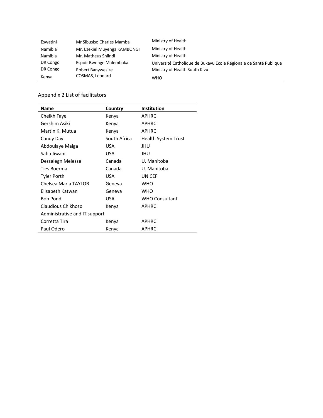| Eswatini | Mr Sibusiso Charles Mamba    | Ministry of Health                                                |
|----------|------------------------------|-------------------------------------------------------------------|
| Namibia  | Mr. Ezekiel Muyenga KAMBONGI | Ministry of Health                                                |
| Namibia  | Mr. Matheus Shiindi          | Ministry of Health                                                |
| DR Congo | Espoir Bwenge Malembaka      | Université Catholique de Bukavu Ecole Régionale de Santé Publique |
| DR Congo | Robert Banywesize            | Ministry of Health South Kivu                                     |
| Kenya    | COSMAS, Leonard              | <b>WHO</b>                                                        |

#### Appendix 2 List of facilitators

| <b>Name</b>                   | Country      | <b>Institution</b>    |
|-------------------------------|--------------|-----------------------|
| Cheikh Faye                   | Kenya        | <b>APHRC</b>          |
| Gershim Asiki                 | Kenya        | <b>APHRC</b>          |
| Martin K. Mutua               | Kenya        | <b>APHRC</b>          |
| Candy Day                     | South Africa | Health System Trust   |
| Abdoulaye Maiga               | USA          | JHU                   |
| Safia Jiwani                  | USA          | JHU                   |
| Dessalegn Melesse             | Canada       | U. Manitoba           |
| Ties Boerma                   | Canada       | U. Manitoba           |
| Tyler Porth                   | USA          | <b>UNICEF</b>         |
| Chelsea Maria TAYLOR          | Geneva       | <b>WHO</b>            |
| Elisabeth Katwan              | Geneva       | <b>WHO</b>            |
| <b>Bob Pond</b>               | USA          | <b>WHO Consultant</b> |
| Claudious Chikhozo            | Kenya        | <b>APHRC</b>          |
| Administrative and IT support |              |                       |
| Corretta Tira                 | Kenya        | <b>APHRC</b>          |
| Paul Odero                    | Kenya        | <b>APHRC</b>          |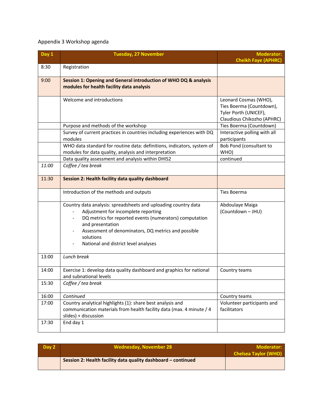## Appendix 3 Workshop agenda

| Day 1 | <b>Tuesday, 27 November</b>                                                                                                                                                                                                                                                                      | <b>Moderator:</b>                                                          |
|-------|--------------------------------------------------------------------------------------------------------------------------------------------------------------------------------------------------------------------------------------------------------------------------------------------------|----------------------------------------------------------------------------|
| 8:30  | Registration                                                                                                                                                                                                                                                                                     | <b>Cheikh Faye (APHRC)</b>                                                 |
|       |                                                                                                                                                                                                                                                                                                  |                                                                            |
| 9:00  | Session 1: Opening and General introduction of WHO DQ & analysis                                                                                                                                                                                                                                 |                                                                            |
|       | modules for health facility data analysis                                                                                                                                                                                                                                                        |                                                                            |
|       | Welcome and introductions                                                                                                                                                                                                                                                                        | Leonard Cosmas (WHO),<br>Ties Boerma (Countdown),<br>Tyler Porth (UNICEF), |
|       | Purpose and methods of the workshop                                                                                                                                                                                                                                                              | Claudious Chikozho (APHRC)<br>Ties Boerma (Countdown)                      |
|       | Survey of current practices in countries including experiences with DQ<br>modules                                                                                                                                                                                                                | Interactive polling with all<br>participants                               |
|       | WHO data standard for routine data: definitions, indicators, system of<br>modules for data quality, analysis and interpretation                                                                                                                                                                  | Bob Pond (consultant to<br>WHO)                                            |
|       | Data quality assessment and analysis within DHIS2                                                                                                                                                                                                                                                | continued                                                                  |
| 11:00 | Coffee / tea break                                                                                                                                                                                                                                                                               |                                                                            |
| 11:30 | Session 2: Health facility data quality dashboard                                                                                                                                                                                                                                                |                                                                            |
|       | Introduction of the methods and outputs                                                                                                                                                                                                                                                          | Ties Boerma                                                                |
|       | Country data analysis: spreadsheets and uploading country data<br>Adjustment for incomplete reporting<br>DQ metrics for reported events (numerators) computation<br>and presentation<br>Assessment of denominators, DQ metrics and possible<br>solutions<br>National and district level analyses | Abdoulaye Maiga<br>(Countdown - JHU)                                       |
| 13:00 | Lunch break                                                                                                                                                                                                                                                                                      |                                                                            |
| 14:00 | Exercise 1: develop data quality dashboard and graphics for national<br>and subnational levels                                                                                                                                                                                                   | Country teams                                                              |
| 15:30 | Coffee / tea break                                                                                                                                                                                                                                                                               |                                                                            |
| 16:00 | Continued                                                                                                                                                                                                                                                                                        | Country teams                                                              |
| 17:00 | Country analytical highlights (1): share best analysis and<br>communication materials from health facility data (max. 4 minute / 4<br>slides) + discussion                                                                                                                                       | Volunteer participants and<br>facilitators                                 |
| 17:30 | End day 1                                                                                                                                                                                                                                                                                        |                                                                            |

| Day 2 | <b>Wednesday, November 28</b>                                 | Moderator:<br><b>Chelsea Taylor (WHO)</b> |
|-------|---------------------------------------------------------------|-------------------------------------------|
|       | Session 2: Health facility data quality dashboard - continued |                                           |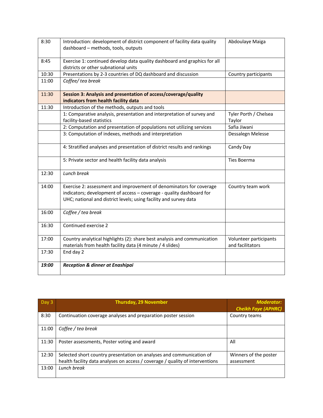| 8:30  | Introduction: development of district component of facility data quality  | Abdoulaye Maiga        |
|-------|---------------------------------------------------------------------------|------------------------|
|       | dashboard - methods, tools, outputs                                       |                        |
|       |                                                                           |                        |
| 8:45  | Exercise 1: continued develop data quality dashboard and graphics for all |                        |
|       | districts or other subnational units                                      |                        |
| 10:30 | Presentations by 2-3 countries of DQ dashboard and discussion             | Country participants   |
| 11:00 | Coffee/ tea break                                                         |                        |
| 11:30 | Session 3: Analysis and presentation of access/coverage/quality           |                        |
|       | indicators from health facility data                                      |                        |
| 11:30 | Introduction of the methods, outputs and tools                            |                        |
|       | 1: Comparative analysis, presentation and interpretation of survey and    | Tyler Porth / Chelsea  |
|       | facility-based statistics                                                 | Taylor                 |
|       | 2: Computation and presentation of populations not utilizing services     | Safia Jiwani           |
|       | 3: Computation of indexes, methods and interpretation                     | Dessalegn Melesse      |
|       | 4: Stratified analyses and presentation of district results and rankings  | Candy Day              |
|       | 5: Private sector and health facility data analysis                       | Ties Boerma            |
| 12:30 | Lunch break                                                               |                        |
| 14:00 | Exercise 2: assessment and improvement of denominators for coverage       | Country team work      |
|       | indicators; development of access - coverage - quality dashboard for      |                        |
|       | UHC; national and district levels; using facility and survey data         |                        |
| 16:00 | Coffee / tea break                                                        |                        |
| 16:30 | Continued exercise 2                                                      |                        |
| 17:00 | Country analytical highlights (2): share best analysis and communication  | Volunteer participants |
|       | materials from health facility data (4 minute / 4 slides)                 | and facilitators       |
| 17:30 | End day 2                                                                 |                        |
| 19:00 | Reception & dinner at Enashipai                                           |                        |
|       |                                                                           |                        |

| Day 3 | <b>Thursday, 29 November</b>                                                                                                                          | <b>Moderator:</b><br><b>Cheikh Faye (APHRC)</b> |
|-------|-------------------------------------------------------------------------------------------------------------------------------------------------------|-------------------------------------------------|
| 8:30  | Continuation coverage analyses and preparation poster session                                                                                         | Country teams                                   |
| 11:00 | Coffee / tea break                                                                                                                                    |                                                 |
| 11:30 | Poster assessments, Poster voting and award                                                                                                           | All                                             |
| 12:30 | Selected short country presentation on analyses and communication of<br>health facility data analyses on access / coverage / quality of interventions | Winners of the poster<br>assessment             |
| 13:00 | Lunch break                                                                                                                                           |                                                 |